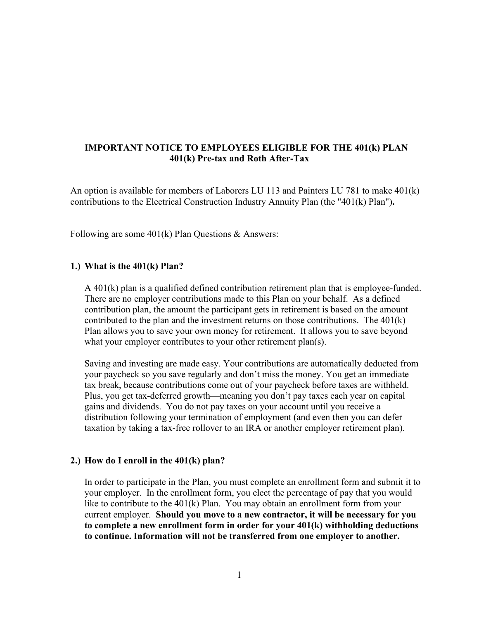# **IMPORTANT NOTICE TO EMPLOYEES ELIGIBLE FOR THE 401(k) PLAN 401(k) Pre-tax and Roth After-Tax**

An option is available for members of Laborers LU 113 and Painters LU 781 to make 401(k) contributions to the Electrical Construction Industry Annuity Plan (the "401(k) Plan")**.**

Following are some 401(k) Plan Questions & Answers:

### **1.) What is the 401(k) Plan?**

A 401(k) plan is a qualified defined contribution retirement plan that is employee-funded. There are no employer contributions made to this Plan on your behalf. As a defined contribution plan, the amount the participant gets in retirement is based on the amount contributed to the plan and the investment returns on those contributions. The 401(k) Plan allows you to save your own money for retirement. It allows you to save beyond what your employer contributes to your other retirement plan(s).

Saving and investing are made easy. Your contributions are automatically deducted from your paycheck so you save regularly and don't miss the money. You get an immediate tax break, because contributions come out of your paycheck before taxes are withheld. Plus, you get tax-deferred growth—meaning you don't pay taxes each year on capital gains and dividends. You do not pay taxes on your account until you receive a distribution following your termination of employment (and even then you can defer taxation by taking a tax-free rollover to an IRA or another employer retirement plan).

### **2.) How do I enroll in the 401(k) plan?**

In order to participate in the Plan, you must complete an enrollment form and submit it to your employer. In the enrollment form, you elect the percentage of pay that you would like to contribute to the 401(k) Plan. You may obtain an enrollment form from your current employer. **Should you move to a new contractor, it will be necessary for you to complete a new enrollment form in order for your 401(k) withholding deductions to continue. Information will not be transferred from one employer to another.**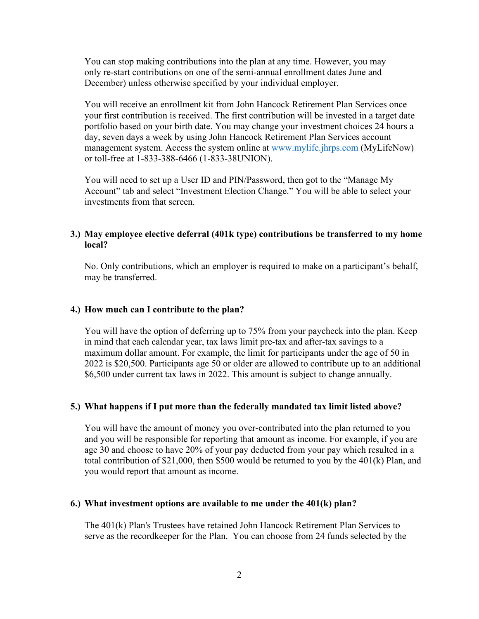You can stop making contributions into the plan at any time. However, you may only re-start contributions on one of the semi-annual enrollment dates June and December) unless otherwise specified by your individual employer.

You will receive an enrollment kit from John Hancock Retirement Plan Services once your first contribution is received. The first contribution will be invested in a target date portfolio based on your birth date. You may change your investment choices 24 hours a day, seven days a week by using John Hancock Retirement Plan Services account management system. Access the system online at [www.mylife.jhrps.com](http://www.mylife.jhrps.com/) (MyLifeNow) or toll-free at 1-833-388-6466 (1-833-38UNION).

You will need to set up a User ID and PIN/Password, then got to the "Manage My Account" tab and select "Investment Election Change." You will be able to select your investments from that screen.

# **3.) May employee elective deferral (401k type) contributions be transferred to my home local?**

No. Only contributions, which an employer is required to make on a participant's behalf, may be transferred.

### **4.) How much can I contribute to the plan?**

You will have the option of deferring up to 75% from your paycheck into the plan. Keep in mind that each calendar year, tax laws limit pre-tax and after-tax savings to a maximum dollar amount. For example, the limit for participants under the age of 50 in 2022 is \$20,500. Participants age 50 or older are allowed to contribute up to an additional \$6,500 under current tax laws in 2022. This amount is subject to change annually.

### **5.) What happens if I put more than the federally mandated tax limit listed above?**

You will have the amount of money you over-contributed into the plan returned to you and you will be responsible for reporting that amount as income. For example, if you are age 30 and choose to have 20% of your pay deducted from your pay which resulted in a total contribution of \$21,000, then \$500 would be returned to you by the 401(k) Plan, and you would report that amount as income.

### **6.) What investment options are available to me under the 401(k) plan?**

The 401(k) Plan's Trustees have retained John Hancock Retirement Plan Services to serve as the recordkeeper for the Plan. You can choose from 24 funds selected by the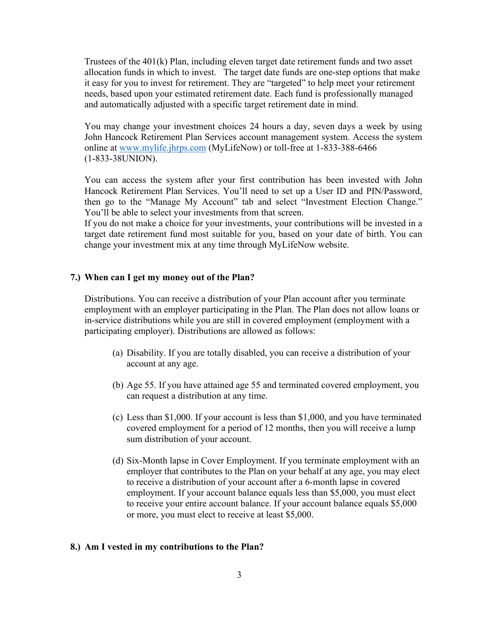Trustees of the 401(k) Plan, including eleven target date retirement funds and two asset allocation funds in which to invest. The target date funds are one-step options that make it easy for you to invest for retirement. They are "targeted" to help meet your retirement needs, based upon your estimated retirement date. Each fund is professionally managed and automatically adjusted with a specific target retirement date in mind.

You may change your investment choices 24 hours a day, seven days a week by using John Hancock Retirement Plan Services account management system. Access the system online at [www.mylife.jhrps.com](http://www.mylife.jhrps.com/) (MyLifeNow) or toll-free at 1-833-388-6466 (1-833-38UNION).

You can access the system after your first contribution has been invested with John Hancock Retirement Plan Services. You'll need to set up a User ID and PIN/Password, then go to the "Manage My Account" tab and select "Investment Election Change." You'll be able to select your investments from that screen.

If you do not make a choice for your investments, your contributions will be invested in a target date retirement fund most suitable for you, based on your date of birth. You can change your investment mix at any time through MyLifeNow website.

## **7.) When can I get my money out of the Plan?**

Distributions. You can receive a distribution of your Plan account after you terminate employment with an employer participating in the Plan. The Plan does not allow loans or in-service distributions while you are still in covered employment (employment with a participating employer). Distributions are allowed as follows:

- (a) Disability. If you are totally disabled, you can receive a distribution of your account at any age.
- (b) Age 55. If you have attained age 55 and terminated covered employment, you can request a distribution at any time.
- (c) Less than \$1,000. If your account is less than \$1,000, and you have terminated covered employment for a period of 12 months, then you will receive a lump sum distribution of your account.
- (d) Six-Month lapse in Cover Employment. If you terminate employment with an employer that contributes to the Plan on your behalf at any age, you may elect to receive a distribution of your account after a 6-month lapse in covered employment. If your account balance equals less than \$5,000, you must elect to receive your entire account balance. If your account balance equals \$5,000 or more, you must elect to receive at least \$5,000.

### **8.) Am I vested in my contributions to the Plan?**